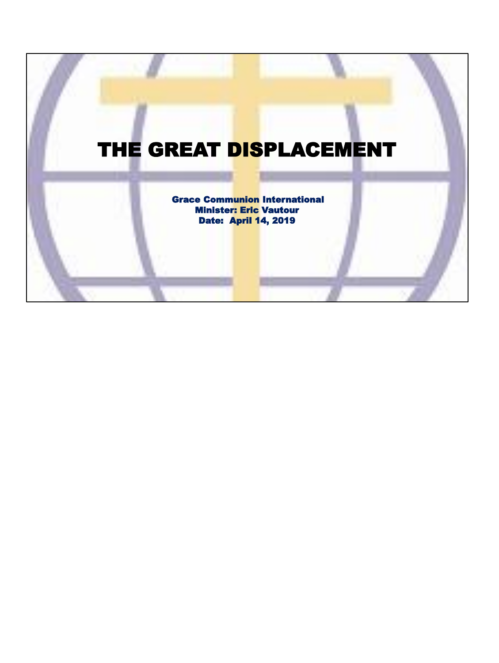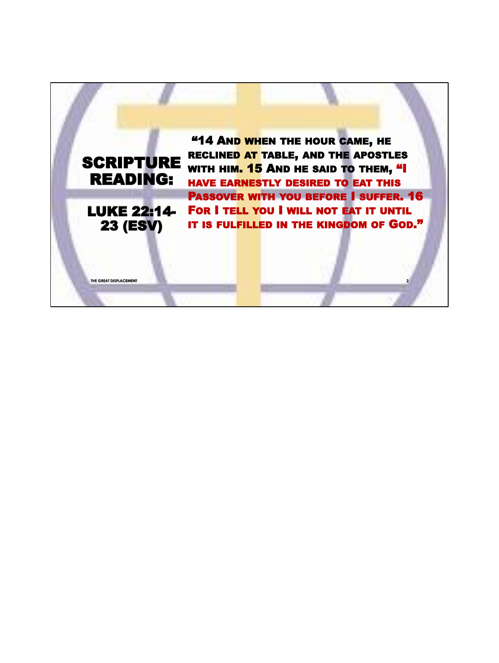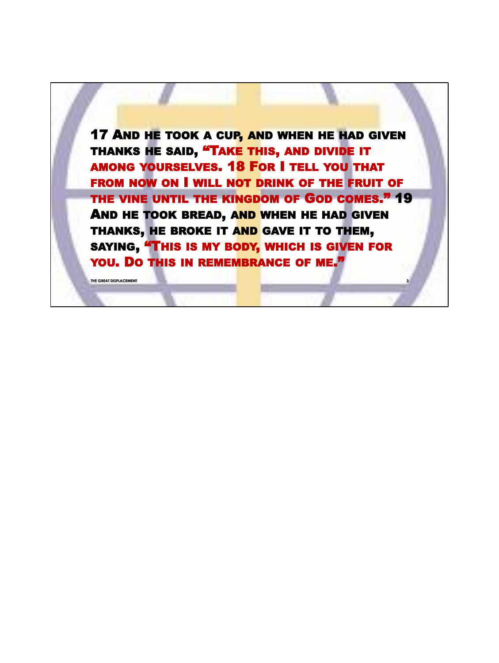**17 AND HE TOOK A CUP, AND WHEN HE HAD GIVEN** THANKS HE SAID, "TAKE THIS, AND DIVIDE IT AMONG YOURSELVES. 18 FOR I TELL YOU THAT FROM NOW ON I WILL NOT DRINK OF THE FRUIT OF THE VINE UNTIL THE KINGDOM OF GOD COMES." 19 AND HE TOOK BREAD, AND WHEN HE HAD GIVEN THANKS, HE BROKE IT AND GAVE IT TO THEM, SAYING, "THIS IS MY BODY, WHICH IS GIVEN FOR YOU. DO THIS IN REMEMBRANCE OF ME.<sup>77</sup>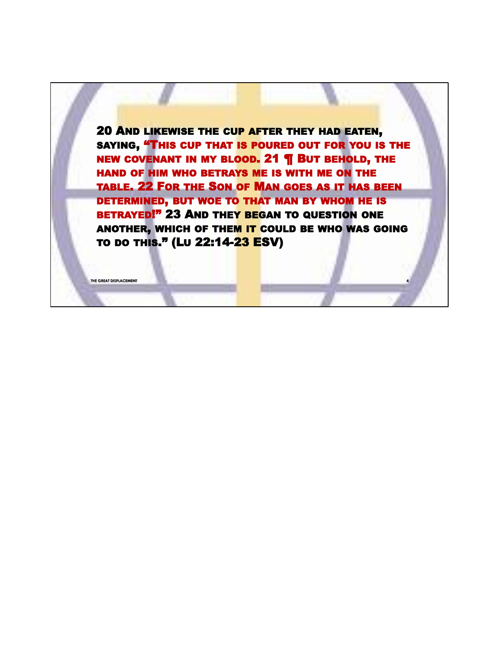20 AND LIKEWISE THE CUP AFTER THEY HAD EATEN, SAYING, "THIS CUP THAT IS POURED OUT FOR YOU IS THE NEW COVENANT IN MY BLOOD. 21 ¶ BUT BEHOLD, THE HAND OF HIM WHO BETRAYS ME IS WITH ME ON THE TABLE. 22 FOR THE SON OF MAN GOES AS IT HAS BEEN DETERMINED, BUT WOE TO THAT MAN BY WHOM HE IS BETRAYED!" 23 AND THEY BEGAN TO QUESTION ONE ANOTHER, WHICH OF THEM IT COULD BE WHO WAS GOING TO DO THIS." (LU 22:14-23 ESV)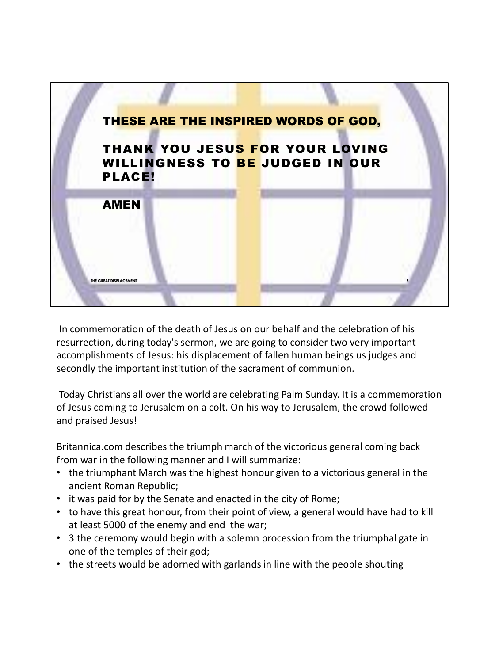

In commemoration of the death of Jesus on our behalf and the celebration of his resurrection, during today's sermon, we are going to consider two very important accomplishments of Jesus: his displacement of fallen human beings us judges and secondly the important institution of the sacrament of communion.

Today Christians all over the world are celebrating Palm Sunday. It is a commemoration of Jesus coming to Jerusalem on a colt. On his way to Jerusalem, the crowd followed and praised Jesus!

Britannica.com describes the triumph march of the victorious general coming back from war in the following manner and I will summarize:

- the triumphant March was the highest honour given to a victorious general in the ancient Roman Republic;
- it was paid for by the Senate and enacted in the city of Rome;
- to have this great honour, from their point of view, a general would have had to kill at least 5000 of the enemy and end the war;
- 3 the ceremony would begin with a solemn procession from the triumphal gate in one of the temples of their god;
- the streets would be adorned with garlands in line with the people shouting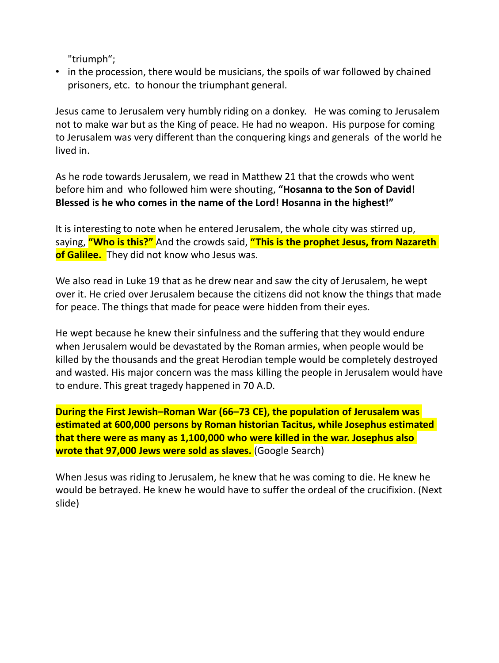"triumph";

• in the procession, there would be musicians, the spoils of war followed by chained prisoners, etc. to honour the triumphant general.

Jesus came to Jerusalem very humbly riding on a donkey. He was coming to Jerusalem not to make war but as the King of peace. He had no weapon. His purpose for coming to Jerusalem was very different than the conquering kings and generals of the world he lived in.

As he rode towards Jerusalem, we read in Matthew 21 that the crowds who went before him and who followed him were shouting, **"Hosanna to the Son of David! Blessed is he who comes in the name of the Lord! Hosanna in the highest!"**

It is interesting to note when he entered Jerusalem, the whole city was stirred up, saying, **"Who is this?"** And the crowds said, **"This is the prophet Jesus, from Nazareth of Galilee.** They did not know who Jesus was.

We also read in Luke 19 that as he drew near and saw the city of Jerusalem, he wept over it. He cried over Jerusalem because the citizens did not know the things that made for peace. The things that made for peace were hidden from their eyes.

He wept because he knew their sinfulness and the suffering that they would endure when Jerusalem would be devastated by the Roman armies, when people would be killed by the thousands and the great Herodian temple would be completely destroyed and wasted. His major concern was the mass killing the people in Jerusalem would have to endure. This great tragedy happened in 70 A.D.

**During the First Jewish–Roman War (66–73 CE), the population of Jerusalem was estimated at 600,000 persons by Roman historian Tacitus, while Josephus estimated that there were as many as 1,100,000 who were killed in the war. Josephus also wrote that 97,000 Jews were sold as slaves.** (Google Search)

When Jesus was riding to Jerusalem, he knew that he was coming to die. He knew he would be betrayed. He knew he would have to suffer the ordeal of the crucifixion. (Next slide)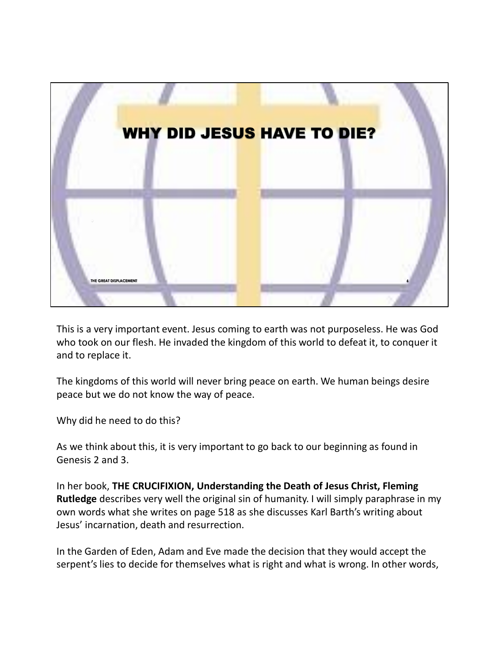

This is a very important event. Jesus coming to earth was not purposeless. He was God who took on our flesh. He invaded the kingdom of this world to defeat it, to conquer it and to replace it.

The kingdoms of this world will never bring peace on earth. We human beings desire peace but we do not know the way of peace.

Why did he need to do this?

As we think about this, it is very important to go back to our beginning as found in Genesis 2 and 3.

In her book, **THE CRUCIFIXION, Understanding the Death of Jesus Christ, Fleming Rutledge** describes very well the original sin of humanity. I will simply paraphrase in my own words what she writes on page 518 as she discusses Karl Barth's writing about Jesus' incarnation, death and resurrection.

In the Garden of Eden, Adam and Eve made the decision that they would accept the serpent's lies to decide for themselves what is right and what is wrong. In other words,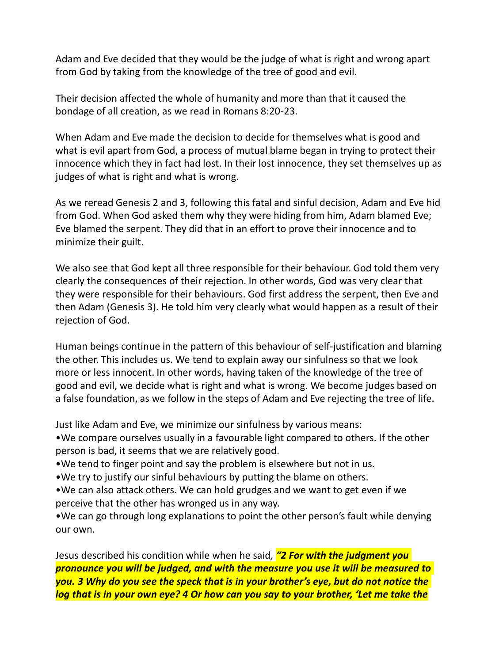Adam and Eve decided that they would be the judge of what is right and wrong apart from God by taking from the knowledge of the tree of good and evil.

Their decision affected the whole of humanity and more than that it caused the bondage of all creation, as we read in Romans 8:20-23.

When Adam and Eve made the decision to decide for themselves what is good and what is evil apart from God, a process of mutual blame began in trying to protect their innocence which they in fact had lost. In their lost innocence, they set themselves up as judges of what is right and what is wrong.

As we reread Genesis 2 and 3, following this fatal and sinful decision, Adam and Eve hid from God. When God asked them why they were hiding from him, Adam blamed Eve; Eve blamed the serpent. They did that in an effort to prove their innocence and to minimize their guilt.

We also see that God kept all three responsible for their behaviour. God told them very clearly the consequences of their rejection. In other words, God was very clear that they were responsible for their behaviours. God first address the serpent, then Eve and then Adam (Genesis 3). He told him very clearly what would happen as a result of their rejection of God.

Human beings continue in the pattern of this behaviour of self-justification and blaming the other. This includes us. We tend to explain away our sinfulness so that we look more or less innocent. In other words, having taken of the knowledge of the tree of good and evil, we decide what is right and what is wrong. We become judges based on a false foundation, as we follow in the steps of Adam and Eve rejecting the tree of life.

Just like Adam and Eve, we minimize our sinfulness by various means:

•We compare ourselves usually in a favourable light compared to others. If the other person is bad, it seems that we are relatively good.

•We tend to finger point and say the problem is elsewhere but not in us.

•We try to justify our sinful behaviours by putting the blame on others.

•We can also attack others. We can hold grudges and we want to get even if we perceive that the other has wronged us in any way.

•We can go through long explanations to point the other person's fault while denying our own.

Jesus described his condition while when he said*, "2 For with the judgment you pronounce you will be judged, and with the measure you use it will be measured to you. 3 Why do you see the speck that is in your brother's eye, but do not notice the log that is in your own eye? 4 Or how can you say to your brother, 'Let me take the*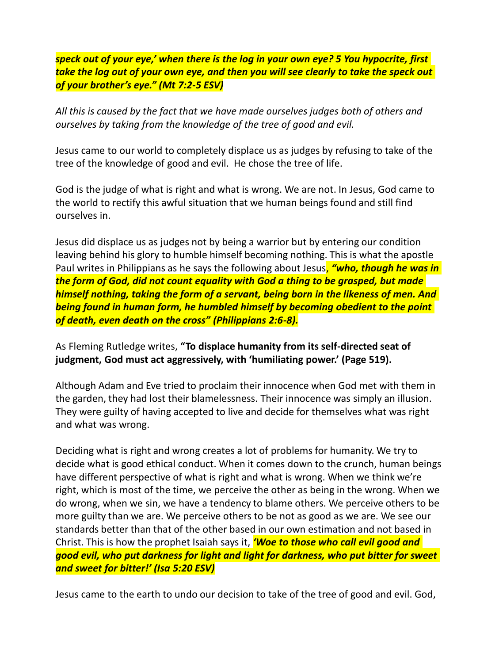*speck out of your eye,' when there is the log in your own eye? 5 You hypocrite, first take the log out of your own eye, and then you will see clearly to take the speck out of your brother's eye." (Mt 7:2-5 ESV)*

*All this is caused by the fact that we have made ourselves judges both of others and ourselves by taking from the knowledge of the tree of good and evil.*

Jesus came to our world to completely displace us as judges by refusing to take of the tree of the knowledge of good and evil. He chose the tree of life.

God is the judge of what is right and what is wrong. We are not. In Jesus, God came to the world to rectify this awful situation that we human beings found and still find ourselves in.

Jesus did displace us as judges not by being a warrior but by entering our condition leaving behind his glory to humble himself becoming nothing. This is what the apostle Paul writes in Philippians as he says the following about Jesus, *"who, though he was in the form of God, did not count equality with God a thing to be grasped, but made himself nothing, taking the form of a servant, being born in the likeness of men. And being found in human form, he humbled himself by becoming obedient to the point of death, even death on the cross" (Philippians 2:6-8).*

As Fleming Rutledge writes, **"To displace humanity from its self-directed seat of judgment, God must act aggressively, with 'humiliating power.' (Page 519).**

Although Adam and Eve tried to proclaim their innocence when God met with them in the garden, they had lost their blamelessness. Their innocence was simply an illusion. They were guilty of having accepted to live and decide for themselves what was right and what was wrong.

Deciding what is right and wrong creates a lot of problems for humanity. We try to decide what is good ethical conduct. When it comes down to the crunch, human beings have different perspective of what is right and what is wrong. When we think we're right, which is most of the time, we perceive the other as being in the wrong. When we do wrong, when we sin, we have a tendency to blame others. We perceive others to be more guilty than we are. We perceive others to be not as good as we are. We see our standards better than that of the other based in our own estimation and not based in Christ. This is how the prophet Isaiah says it, *'Woe to those who call evil good and good evil, who put darkness for light and light for darkness, who put bitter for sweet and sweet for bitter!' (Isa 5:20 ESV)*

Jesus came to the earth to undo our decision to take of the tree of good and evil. God,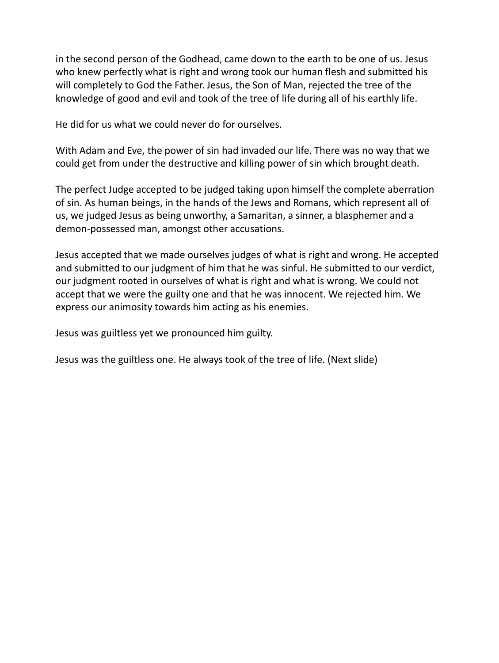in the second person of the Godhead, came down to the earth to be one of us. Jesus who knew perfectly what is right and wrong took our human flesh and submitted his will completely to God the Father. Jesus, the Son of Man, rejected the tree of the knowledge of good and evil and took of the tree of life during all of his earthly life.

He did for us what we could never do for ourselves.

With Adam and Eve, the power of sin had invaded our life. There was no way that we could get from under the destructive and killing power of sin which brought death.

The perfect Judge accepted to be judged taking upon himself the complete aberration of sin. As human beings, in the hands of the Jews and Romans, which represent all of us, we judged Jesus as being unworthy, a Samaritan, a sinner, a blasphemer and a demon-possessed man, amongst other accusations.

Jesus accepted that we made ourselves judges of what is right and wrong. He accepted and submitted to our judgment of him that he was sinful. He submitted to our verdict, our judgment rooted in ourselves of what is right and what is wrong. We could not accept that we were the guilty one and that he was innocent. We rejected him. We express our animosity towards him acting as his enemies.

Jesus was guiltless yet we pronounced him guilty.

Jesus was the guiltless one. He always took of the tree of life. (Next slide)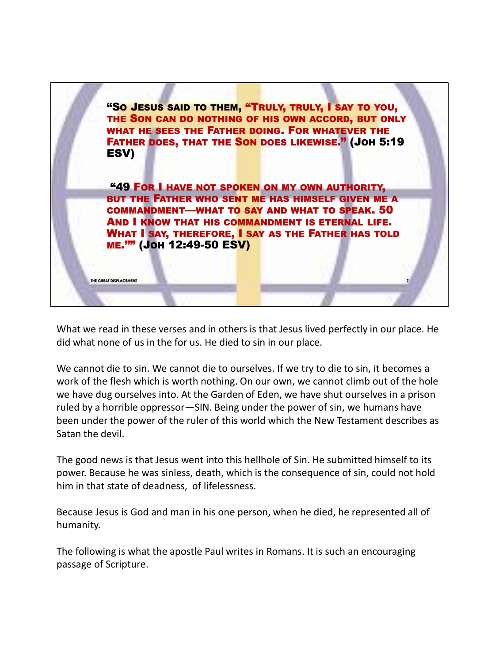

What we read in these verses and in others is that Jesus lived perfectly in our place. He did what none of us in the for us. He died to sin in our place.

We cannot die to sin. We cannot die to ourselves. If we try to die to sin, it becomes a work of the flesh which is worth nothing. On our own, we cannot climb out of the hole we have dug ourselves into. At the Garden of Eden, we have shut ourselves in a prison ruled by a horrible oppressor—SIN. Being under the power of sin, we humans have been under the power of the ruler of this world which the New Testament describes as Satan the devil.

The good news is that Jesus went into this hellhole of Sin. He submitted himself to its power. Because he was sinless, death, which is the consequence of sin, could not hold him in that state of deadness, of lifelessness.

Because Jesus is God and man in his one person, when he died, he represented all of humanity.

The following is what the apostle Paul writes in Romans. It is such an encouraging passage of Scripture.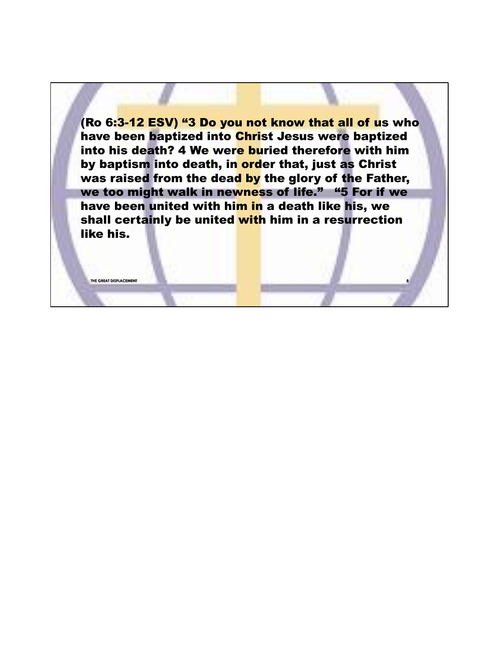(Ro 6:3-12 ESV) "3 Do you not know that all of us who have been baptized into Christ Jesus were baptized into his death? 4 We were buried therefore with him by baptism into death, in order that, just as Christ was raised from the dead by the glory of the Father, we too might walk in newness of life." "5 For if we have been united with him in a death like his, we shall certainly be united with him in a resurrection like his.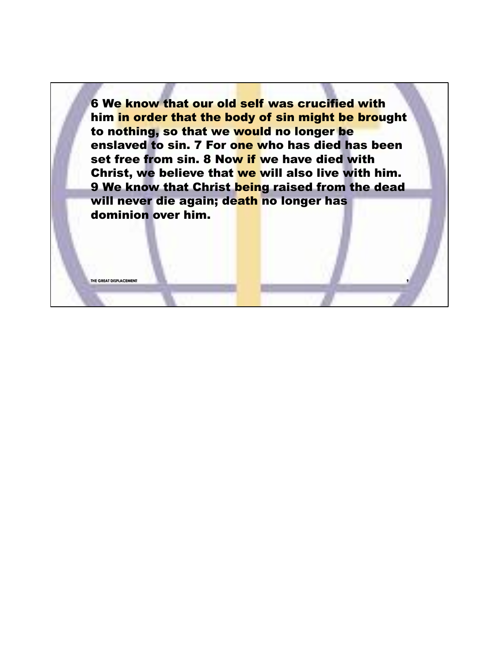6 We know that our old self was crucified with him in order that the body of sin might be brought to nothing, so that we would no longer be enslaved to sin. 7 For one who has died has been set free from sin. 8 Now if we have died with Christ, we believe that we will also live with him. 9 We know that Christ being raised from the dead will never die again; death no longer has dominion over him.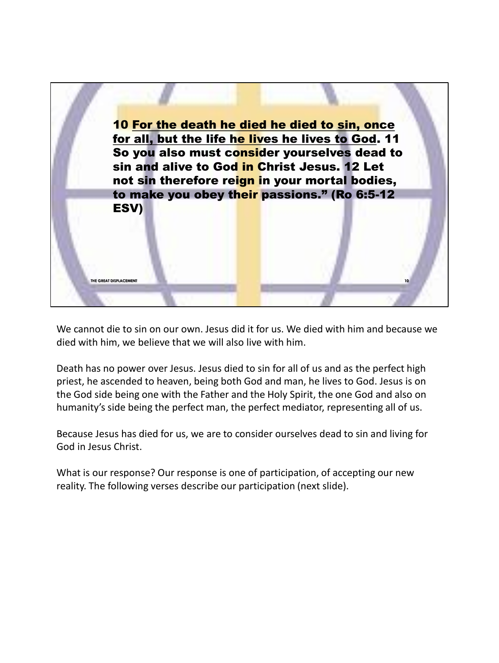

We cannot die to sin on our own. Jesus did it for us. We died with him and because we died with him, we believe that we will also live with him.

Death has no power over Jesus. Jesus died to sin for all of us and as the perfect high priest, he ascended to heaven, being both God and man, he lives to God. Jesus is on the God side being one with the Father and the Holy Spirit, the one God and also on humanity's side being the perfect man, the perfect mediator, representing all of us.

Because Jesus has died for us, we are to consider ourselves dead to sin and living for God in Jesus Christ.

What is our response? Our response is one of participation, of accepting our new reality. The following verses describe our participation (next slide).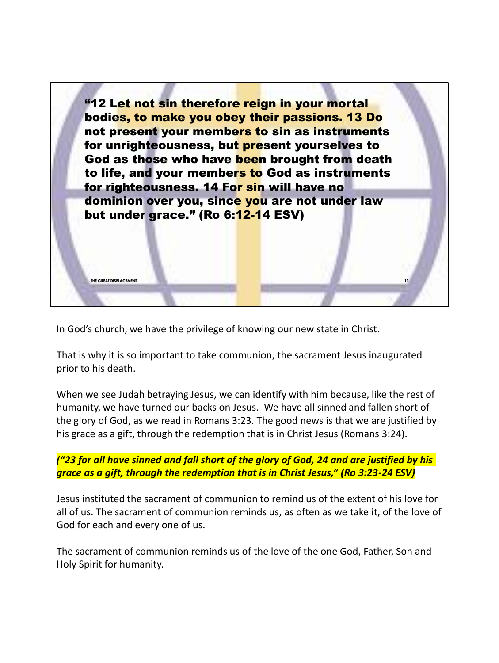

In God's church, we have the privilege of knowing our new state in Christ.

That is why it is so important to take communion, the sacrament Jesus inaugurated prior to his death.

When we see Judah betraying Jesus, we can identify with him because, like the rest of humanity, we have turned our backs on Jesus. We have all sinned and fallen short of the glory of God, as we read in Romans 3:23. The good news is that we are justified by his grace as a gift, through the redemption that is in Christ Jesus (Romans 3:24).

*("23 for all have sinned and fall short of the glory of God, 24 and are justified by his grace as a gift, through the redemption that is in Christ Jesus," (Ro 3:23-24 ESV)*

Jesus instituted the sacrament of communion to remind us of the extent of his love for all of us. The sacrament of communion reminds us, as often as we take it, of the love of God for each and every one of us.

The sacrament of communion reminds us of the love of the one God, Father, Son and Holy Spirit for humanity.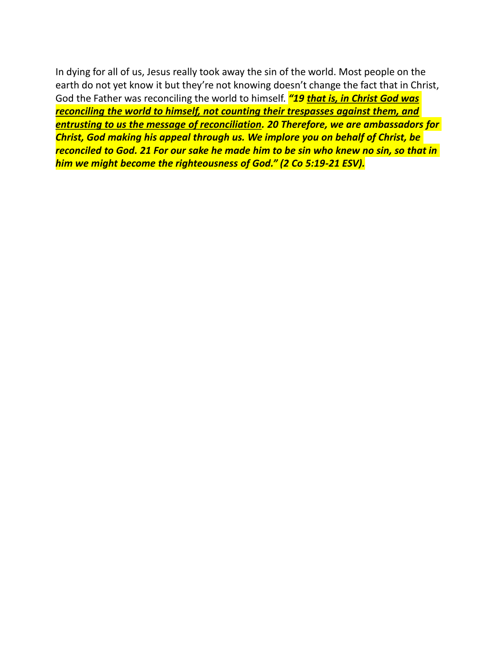In dying for all of us, Jesus really took away the sin of the world. Most people on the earth do not yet know it but they're not knowing doesn't change the fact that in Christ, God the Father was reconciling the world to himself. *"19 that is, in Christ God was reconciling the world to himself, not counting their trespasses against them, and entrusting to us the message of reconciliation. 20 Therefore, we are ambassadors for Christ, God making his appeal through us. We implore you on behalf of Christ, be reconciled to God. 21 For our sake he made him to be sin who knew no sin, so that in him we might become the righteousness of God." (2 Co 5:19-21 ESV).*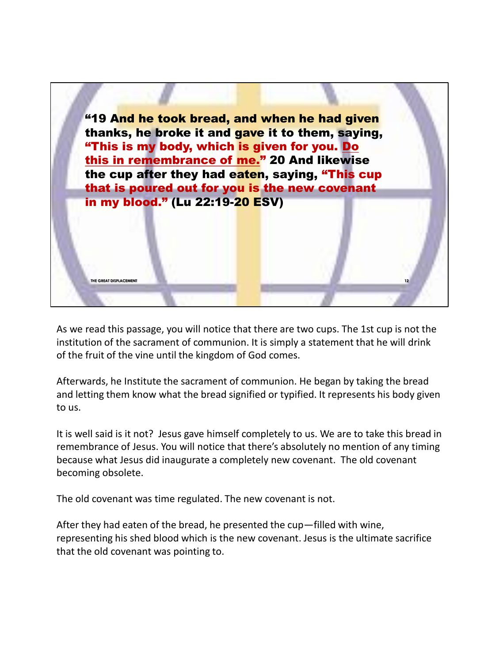

As we read this passage, you will notice that there are two cups. The 1st cup is not the institution of the sacrament of communion. It is simply a statement that he will drink of the fruit of the vine until the kingdom of God comes.

Afterwards, he Institute the sacrament of communion. He began by taking the bread and letting them know what the bread signified or typified. It represents his body given to us.

It is well said is it not? Jesus gave himself completely to us. We are to take this bread in remembrance of Jesus. You will notice that there's absolutely no mention of any timing because what Jesus did inaugurate a completely new covenant. The old covenant becoming obsolete.

The old covenant was time regulated. The new covenant is not.

After they had eaten of the bread, he presented the cup—filled with wine, representing his shed blood which is the new covenant. Jesus is the ultimate sacrifice that the old covenant was pointing to.